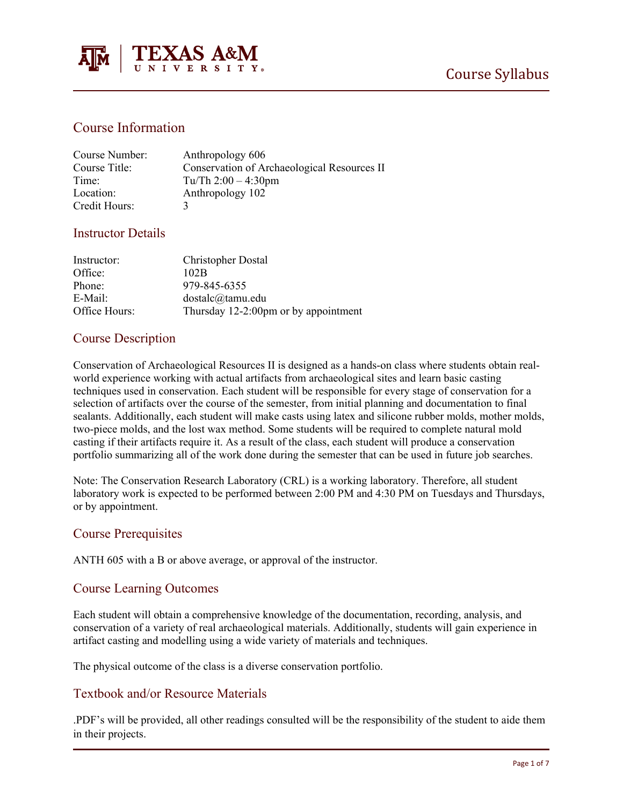

# Course Information

| Course Number: | Anthropology 606                            |
|----------------|---------------------------------------------|
| Course Title:  | Conservation of Archaeological Resources II |
| Time:          | Tu/Th $2:00 - 4:30$ pm                      |
| Location:      | Anthropology 102                            |
| Credit Hours:  |                                             |

### Instructor Details

| Instructor:   | <b>Christopher Dostal</b>            |
|---------------|--------------------------------------|
| Office:       | 102B                                 |
| Phone:        | 979-845-6355                         |
| E-Mail:       | dostalc@tamu.edu                     |
| Office Hours: | Thursday 12-2:00pm or by appointment |

### Course Description

Conservation of Archaeological Resources II is designed as a hands-on class where students obtain realworld experience working with actual artifacts from archaeological sites and learn basic casting techniques used in conservation. Each student will be responsible for every stage of conservation for a selection of artifacts over the course of the semester, from initial planning and documentation to final sealants. Additionally, each student will make casts using latex and silicone rubber molds, mother molds, two-piece molds, and the lost wax method. Some students will be required to complete natural mold casting if their artifacts require it. As a result of the class, each student will produce a conservation portfolio summarizing all of the work done during the semester that can be used in future job searches.

Note: The Conservation Research Laboratory (CRL) is a working laboratory. Therefore, all student laboratory work is expected to be performed between 2:00 PM and 4:30 PM on Tuesdays and Thursdays, or by appointment.

#### Course Prerequisites

ANTH 605 with a B or above average, or approval of the instructor.

#### Course Learning Outcomes

Each student will obtain a comprehensive knowledge of the documentation, recording, analysis, and conservation of a variety of real archaeological materials. Additionally, students will gain experience in artifact casting and modelling using a wide variety of materials and techniques.

The physical outcome of the class is a diverse conservation portfolio.

### Textbook and/or Resource Materials

.PDF's will be provided, all other readings consulted will be the responsibility of the student to aide them in their projects.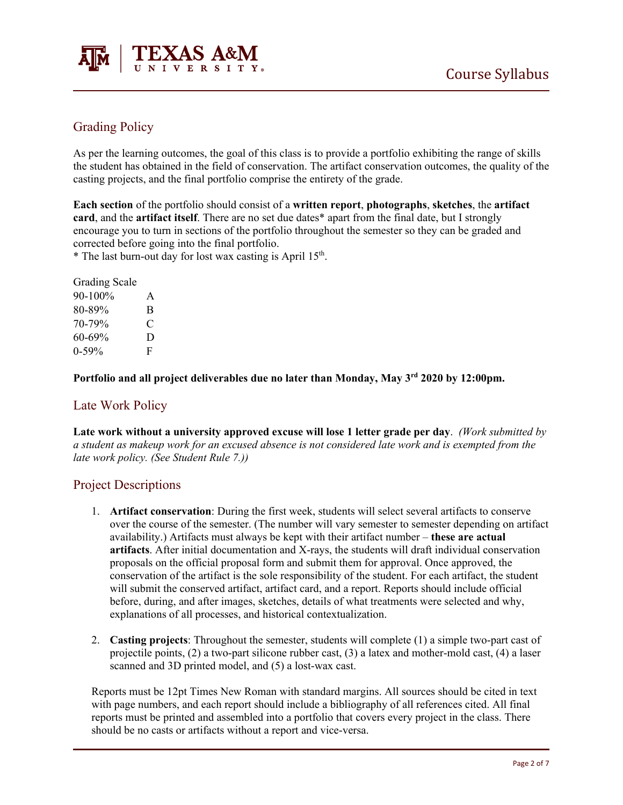



# Grading Policy

As per the learning outcomes, the goal of this class is to provide a portfolio exhibiting the range of skills the student has obtained in the field of conservation. The artifact conservation outcomes, the quality of the casting projects, and the final portfolio comprise the entirety of the grade.

**Each section** of the portfolio should consist of a **written report**, **photographs**, **sketches**, the **artifact card**, and the **artifact itself**. There are no set due dates\* apart from the final date, but I strongly encourage you to turn in sections of the portfolio throughout the semester so they can be graded and corrected before going into the final portfolio.

\* The last burn-out day for lost wax casting is April  $15<sup>th</sup>$ .

| <b>Grading Scale</b> |   |
|----------------------|---|
| 90-100%              | A |
| 80-89%               | B |
| 70-79%               | C |
| 60-69%               | D |
| $0 - 59\%$           | F |

### **Portfolio and all project deliverables due no later than Monday, May 3rd 2020 by 12:00pm.**

### Late Work Policy

**Late work without a university approved excuse will lose 1 letter grade per day**. *(Work submitted by a student as makeup work for an excused absence is not considered late work and is exempted from the late work policy. (See [Student Rule 7.](https://student-rules.tamu.edu/rule07/)))*

#### Project Descriptions

- 1. **Artifact conservation**: During the first week, students will select several artifacts to conserve over the course of the semester. (The number will vary semester to semester depending on artifact availability.) Artifacts must always be kept with their artifact number – **these are actual artifacts**. After initial documentation and X-rays, the students will draft individual conservation proposals on the official proposal form and submit them for approval. Once approved, the conservation of the artifact is the sole responsibility of the student. For each artifact, the student will submit the conserved artifact, artifact card, and a report. Reports should include official before, during, and after images, sketches, details of what treatments were selected and why, explanations of all processes, and historical contextualization.
- 2. **Casting projects**: Throughout the semester, students will complete (1) a simple two-part cast of projectile points, (2) a two-part silicone rubber cast, (3) a latex and mother-mold cast, (4) a laser scanned and 3D printed model, and (5) a lost-wax cast.

Reports must be 12pt Times New Roman with standard margins. All sources should be cited in text with page numbers, and each report should include a bibliography of all references cited. All final reports must be printed and assembled into a portfolio that covers every project in the class. There should be no casts or artifacts without a report and vice-versa.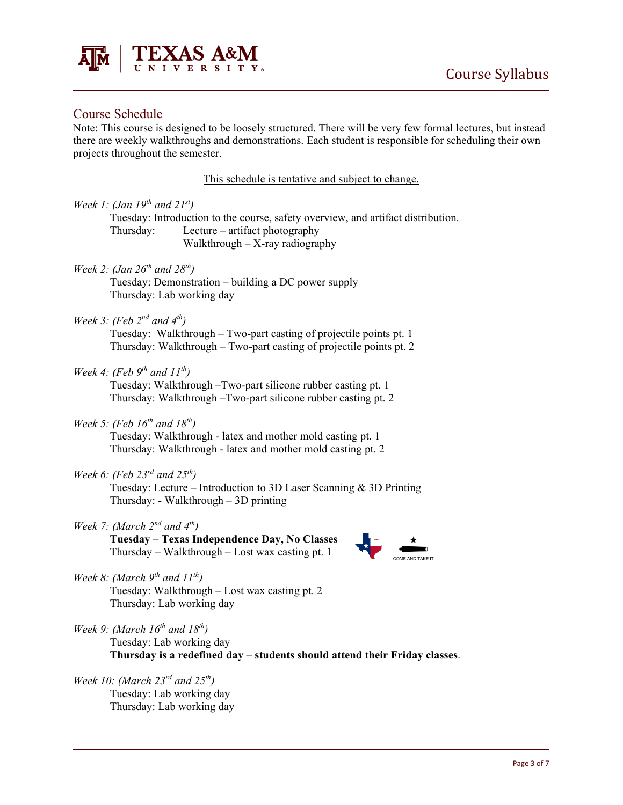

### Course Schedule

Note: This course is designed to be loosely structured. There will be very few formal lectures, but instead there are weekly walkthroughs and demonstrations. Each student is responsible for scheduling their own projects throughout the semester.

| This schedule is tentative and subject to change.                                                                                                                                                                              |
|--------------------------------------------------------------------------------------------------------------------------------------------------------------------------------------------------------------------------------|
| Week 1: (Jan 19 <sup>th</sup> and 21 <sup>st</sup> )<br>Tuesday: Introduction to the course, safety overview, and artifact distribution.<br>Lecture $-$ artifact photography<br>Thursday:<br>Walkthrough $-$ X-ray radiography |
| Week 2: (Jan $26^{th}$ and $28^{th}$ )<br>Tuesday: Demonstration - building a DC power supply<br>Thursday: Lab working day                                                                                                     |
| Week 3: (Feb $2^{nd}$ and $4^{th}$ )<br>Tuesday: Walkthrough – Two-part casting of projectile points pt. 1<br>Thursday: Walkthrough – Two-part casting of projectile points pt. 2                                              |
| Week 4: (Feb $9^{th}$ and $11^{th}$ )<br>Tuesday: Walkthrough - Two-part silicone rubber casting pt. 1<br>Thursday: Walkthrough - Two-part silicone rubber casting pt. 2                                                       |
| Week 5: (Feb $16^{th}$ and $18^{th}$ )<br>Tuesday: Walkthrough - latex and mother mold casting pt. 1<br>Thursday: Walkthrough - latex and mother mold casting pt. 2                                                            |
| Week 6: (Feb 23 <sup>rd</sup> and 25 <sup>th</sup> )<br>Tuesday: Lecture – Introduction to 3D Laser Scanning & 3D Printing<br>Thursday: - Walkthrough $-3D$ printing                                                           |
| Week 7: (March $2^{nd}$ and $4^{th}$ )<br>Tuesday - Texas Independence Day, No Classes<br>Thursday – Walkthrough – Lost wax casting pt. 1                                                                                      |
| Week 8: (March $9^{th}$ and $11^{th}$ )<br>Tuesday: Walkthrough - Lost wax casting pt. 2<br>Thursday: Lab working day                                                                                                          |
| Week 9: (March $16^{th}$ and $18^{th}$ )<br>Tuesday: Lab working day<br>Thursday is a redefined day - students should attend their Friday classes.                                                                             |

*Week 10: (March 23rd and 25th)* Tuesday: Lab working day Thursday: Lab working day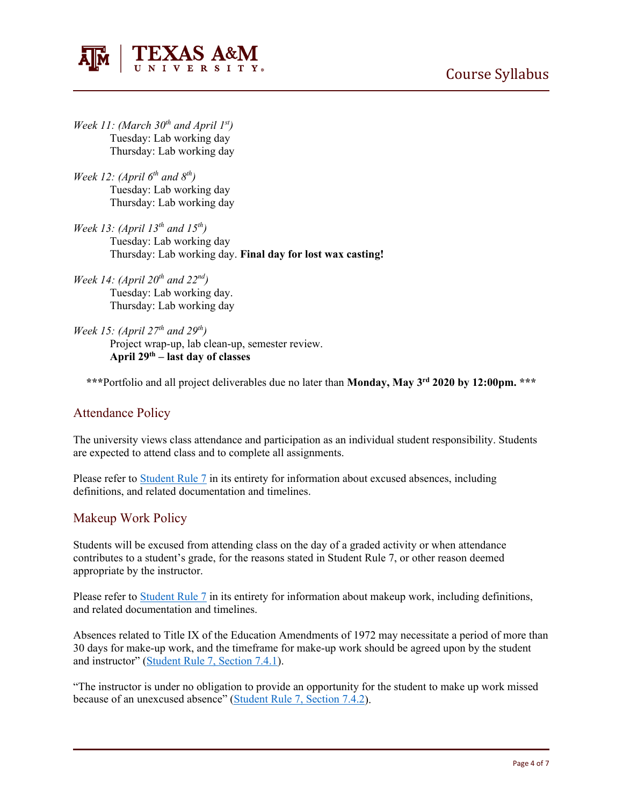



- *Week 11: (March 30th and April 1st)* Tuesday: Lab working day Thursday: Lab working day
- *Week 12: (April*  $6^{th}$  *and*  $8^{th}$ ) Tuesday: Lab working day Thursday: Lab working day
- *Week 13: (April 13th and 15th )* Tuesday: Lab working day Thursday: Lab working day. **Final day for lost wax casting!**
- *Week 14: (April 20th and 22nd )* Tuesday: Lab working day. Thursday: Lab working day
- *Week 15: (April 27th and 29th)* Project wrap-up, lab clean-up, semester review. **April 29th – last day of classes**

**\*\*\***Portfolio and all project deliverables due no later than **Monday, May 3rd 2020 by 12:00pm. \*\*\***

# Attendance Policy

The university views class attendance and participation as an individual student responsibility. Students are expected to attend class and to complete all assignments.

Please refer to [Student Rule 7](https://student-rules.tamu.edu/rule07/) in its entirety for information about excused absences, including definitions, and related documentation and timelines.

### Makeup Work Policy

Students will be excused from attending class on the day of a graded activity or when attendance contributes to a student's grade, for the reasons stated in Student Rule 7, or other reason deemed appropriate by the instructor.

Please refer to [Student Rule 7](https://student-rules.tamu.edu/rule07/) in its entirety for information about makeup work, including definitions, and related documentation and timelines.

Absences related to Title IX of the Education Amendments of 1972 may necessitate a period of more than 30 days for make-up work, and the timeframe for make-up work should be agreed upon by the student and instructor" [\(Student Rule 7, Section 7.4.1\)](https://student-rules.tamu.edu/rule07).

"The instructor is under no obligation to provide an opportunity for the student to make up work missed because of an unexcused absence" [\(Student Rule 7, Section 7.4.2\)](https://student-rules.tamu.edu/rule07).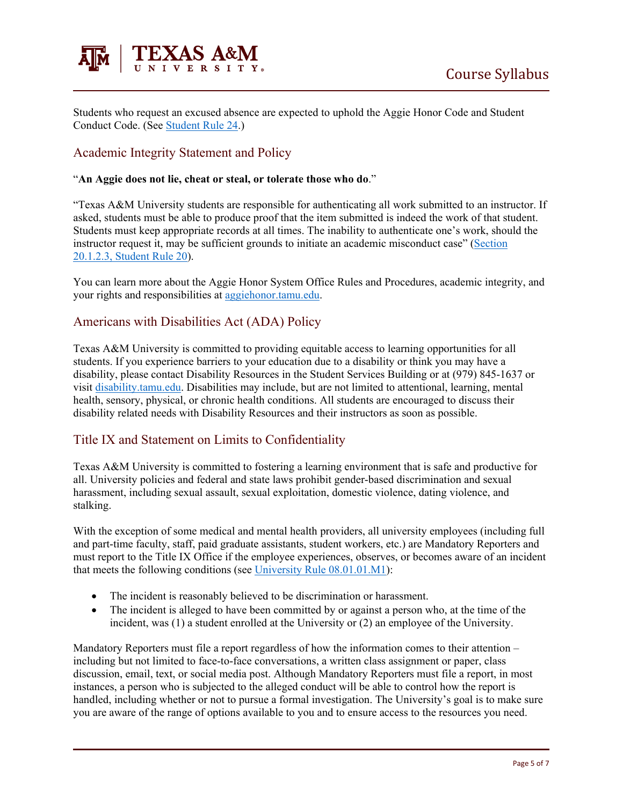

Students who request an excused absence are expected to uphold the Aggie Honor Code and Student Conduct Code. (See [Student Rule 24.](https://student-rules.tamu.edu/rule24/))

# Academic Integrity Statement and Policy

#### "**An Aggie does not lie, cheat or steal, or tolerate those who do**."

"Texas A&M University students are responsible for authenticating all work submitted to an instructor. If asked, students must be able to produce proof that the item submitted is indeed the work of that student. Students must keep appropriate records at all times. The inability to authenticate one's work, should the instructor request it, may be sufficient grounds to initiate an academic misconduct case" [\(Section](https://aggiehonor.tamu.edu/Rules-and-Procedures/Rules/Honor-System-Rules)  [20.1.2.3, Student Rule 20\)](https://aggiehonor.tamu.edu/Rules-and-Procedures/Rules/Honor-System-Rules).

You can learn more about the Aggie Honor System Office Rules and Procedures, academic integrity, and your rights and responsibilities at [aggiehonor.tamu.edu.](https://aggiehonor.tamu.edu/)

### Americans with Disabilities Act (ADA) Policy

Texas A&M University is committed to providing equitable access to learning opportunities for all students. If you experience barriers to your education due to a disability or think you may have a disability, please contact Disability Resources in the Student Services Building or at (979) 845-1637 or visit [disability.tamu.edu.](https://disability.tamu.edu/) Disabilities may include, but are not limited to attentional, learning, mental health, sensory, physical, or chronic health conditions. All students are encouraged to discuss their disability related needs with Disability Resources and their instructors as soon as possible.

### Title IX and Statement on Limits to Confidentiality

Texas A&M University is committed to fostering a learning environment that is safe and productive for all. University policies and federal and state laws prohibit gender-based discrimination and sexual harassment, including sexual assault, sexual exploitation, domestic violence, dating violence, and stalking.

With the exception of some medical and mental health providers, all university employees (including full and part-time faculty, staff, paid graduate assistants, student workers, etc.) are Mandatory Reporters and must report to the Title IX Office if the employee experiences, observes, or becomes aware of an incident that meets the following conditions (see [University Rule 08.01.01.M1\)](https://rules-saps.tamu.edu/PDFs/08.01.01.M1.pdf):

- The incident is reasonably believed to be discrimination or harassment.
- The incident is alleged to have been committed by or against a person who, at the time of the incident, was (1) a student enrolled at the University or (2) an employee of the University.

Mandatory Reporters must file a report regardless of how the information comes to their attention – including but not limited to face-to-face conversations, a written class assignment or paper, class discussion, email, text, or social media post. Although Mandatory Reporters must file a report, in most instances, a person who is subjected to the alleged conduct will be able to control how the report is handled, including whether or not to pursue a formal investigation. The University's goal is to make sure you are aware of the range of options available to you and to ensure access to the resources you need.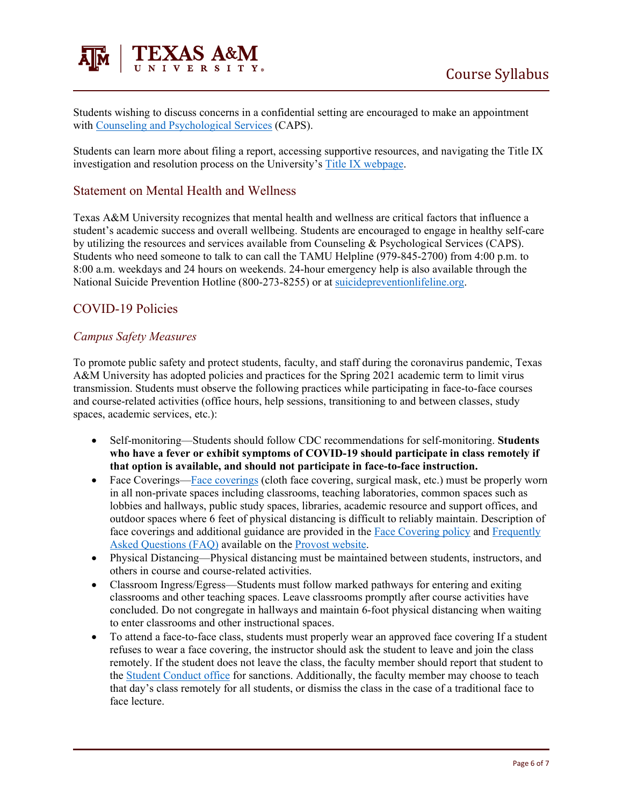

Students wishing to discuss concerns in a confidential setting are encouraged to make an appointment with [Counseling and Psychological Services](https://caps.tamu.edu/) (CAPS).

Students can learn more about filing a report, accessing supportive resources, and navigating the Title IX investigation and resolution process on the University's [Title IX webpage.](https://titleix.tamu.edu/)

### Statement on Mental Health and Wellness

Texas A&M University recognizes that mental health and wellness are critical factors that influence a student's academic success and overall wellbeing. Students are encouraged to engage in healthy self-care by utilizing the resources and services available from Counseling & Psychological Services (CAPS). Students who need someone to talk to can call the TAMU Helpline (979-845-2700) from 4:00 p.m. to 8:00 a.m. weekdays and 24 hours on weekends. 24-hour emergency help is also available through the National Suicide Prevention Hotline (800-273-8255) or at [suicidepreventionlifeline.org.](https://suicidepreventionlifeline.org/)

# COVID-19 Policies

#### *Campus Safety Measures*

To promote public safety and protect students, faculty, and staff during the coronavirus pandemic, Texas A&M University has adopted policies and practices for the Spring 2021 academic term to limit virus transmission. Students must observe the following practices while participating in face-to-face courses and course-related activities (office hours, help sessions, transitioning to and between classes, study spaces, academic services, etc.):

- Self-monitoring—Students should follow CDC recommendations for self-monitoring. **Students who have a fever or exhibit symptoms of COVID-19 should participate in class remotely if that option is available, and should not participate in face-to-face instruction.**
- Face Coverings[—Face coverings](https://rules-saps.tamu.edu/PDFs/34.99.99.M0.03.pdf) (cloth face covering, surgical mask, etc.) must be properly worn in all non-private spaces including classrooms, teaching laboratories, common spaces such as lobbies and hallways, public study spaces, libraries, academic resource and support offices, and outdoor spaces where 6 feet of physical distancing is difficult to reliably maintain. Description of face coverings and additional guidance are provided in the [Face Covering policy](https://rules-saps.tamu.edu/PDFs/34.99.99.M0.03.pdf) and Frequently [Asked Questions \(FAQ\)](https://provost.tamu.edu/Menu/News/TAMU-Face-Covering-FAQs) available on the [Provost website.](https://provost.tamu.edu/Menu/News/TAMU-Face-Covering-FAQs)
- Physical Distancing—Physical distancing must be maintained between students, instructors, and others in course and course-related activities.
- Classroom Ingress/Egress—Students must follow marked pathways for entering and exiting classrooms and other teaching spaces. Leave classrooms promptly after course activities have concluded. Do not congregate in hallways and maintain 6-foot physical distancing when waiting to enter classrooms and other instructional spaces.
- To attend a face-to-face class, students must properly wear an approved face covering If a student refuses to wear a face covering, the instructor should ask the student to leave and join the class remotely. If the student does not leave the class, the faculty member should report that student to the [Student Conduct office](https://studentlife.tamu.edu/sco/face-covering-violations/) for sanctions. Additionally, the faculty member may choose to teach that day's class remotely for all students, or dismiss the class in the case of a traditional face to face lecture.